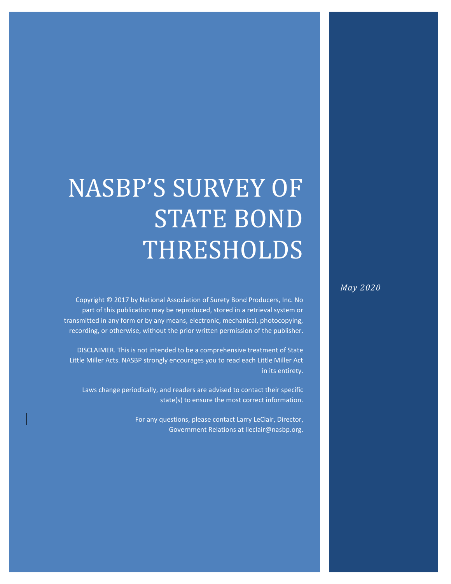## NASBP'S SURVEY OF STATE BOND THRESHOLDS

Copyright © 2017 by National Association of Surety Bond Producers, Inc. No part of this publication may be reproduced, stored in a retrieval system or transmitted in any form or by any means, electronic, mechanical, photocopying, recording, or otherwise, without the prior written permission of the publisher.

DISCLAIMER. This is not intended to be a comprehensive treatment of State Little Miller Acts. NASBP strongly encourages you to read each Little Miller Act in its entirety.

Laws change periodically, and readers are advised to contact their specific state(s) to ensure the most correct information.

> For any questions, please contact Larry LeClair, Director, Government Relations at lleclair@nasbp.org.

*May 2020*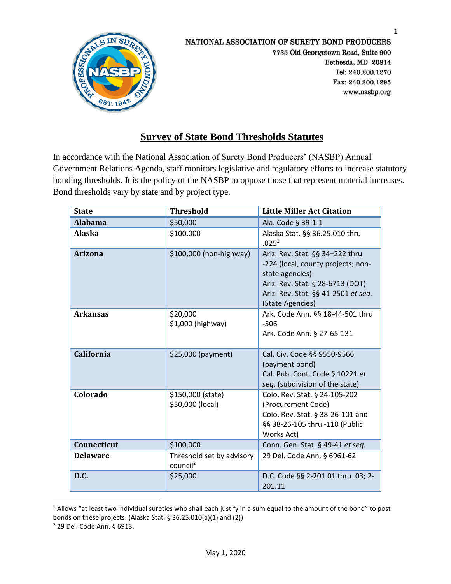

## **Survey of State Bond Thresholds Statutes**

In accordance with the National Association of Surety Bond Producers' (NASBP) Annual Government Relations Agenda, staff monitors legislative and regulatory efforts to increase statutory bonding thresholds. It is the policy of the NASBP to oppose those that represent material increases. Bond thresholds vary by state and by project type.

| <b>State</b>       | <b>Threshold</b>                                  | <b>Little Miller Act Citation</b>                                                                                                                                                       |
|--------------------|---------------------------------------------------|-----------------------------------------------------------------------------------------------------------------------------------------------------------------------------------------|
| <b>Alabama</b>     | \$50,000                                          | Ala. Code § 39-1-1                                                                                                                                                                      |
| <b>Alaska</b>      | \$100,000                                         | Alaska Stat. §§ 36.25.010 thru<br>.025 <sup>1</sup>                                                                                                                                     |
| <b>Arizona</b>     | \$100,000 (non-highway)                           | Ariz. Rev. Stat. §§ 34-222 thru<br>-224 (local, county projects; non-<br>state agencies)<br>Ariz. Rev. Stat. § 28-6713 (DOT)<br>Ariz. Rev. Stat. §§ 41-2501 et seq.<br>(State Agencies) |
| <b>Arkansas</b>    | \$20,000<br>\$1,000 (highway)                     | Ark. Code Ann. §§ 18-44-501 thru<br>$-506$<br>Ark. Code Ann. § 27-65-131                                                                                                                |
| <b>California</b>  | \$25,000 (payment)                                | Cal. Civ. Code §§ 9550-9566<br>(payment bond)<br>Cal. Pub. Cont. Code § 10221 et<br>seq. (subdivision of the state)                                                                     |
| Colorado           | \$150,000 (state)<br>\$50,000 (local)             | Colo. Rev. Stat. § 24-105-202<br>(Procurement Code)<br>Colo. Rev. Stat. § 38-26-101 and<br>§§ 38-26-105 thru -110 (Public<br>Works Act)                                                 |
| <b>Connecticut</b> | \$100,000                                         | Conn. Gen. Stat. § 49-41 et seq.                                                                                                                                                        |
| <b>Delaware</b>    | Threshold set by advisory<br>council <sup>2</sup> | 29 Del. Code Ann. § 6961-62                                                                                                                                                             |
| D.C.               | \$25,000                                          | D.C. Code §§ 2-201.01 thru .03; 2-<br>201.11                                                                                                                                            |

<sup>&</sup>lt;sup>1</sup> Allows "at least two individual sureties who shall each justify in a sum equal to the amount of the bond" to post bonds on these projects. (Alaska Stat. § 36.25.010(a)(1) and (2))

<sup>2</sup> 29 Del. Code Ann. § 6913.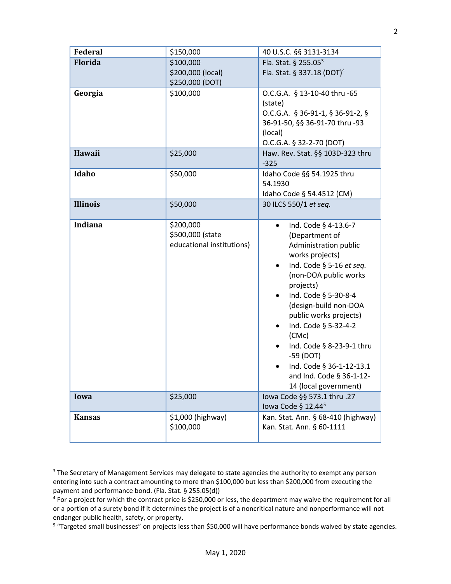| Federal         | \$150,000                                                  | 40 U.S.C. §§ 3131-3134                                                                                                                                                                                                                                                                                                                                                                                                                            |
|-----------------|------------------------------------------------------------|---------------------------------------------------------------------------------------------------------------------------------------------------------------------------------------------------------------------------------------------------------------------------------------------------------------------------------------------------------------------------------------------------------------------------------------------------|
| <b>Florida</b>  | \$100,000<br>\$200,000 (local)<br>\$250,000 (DOT)          | Fla. Stat. § 255.05 <sup>3</sup><br>Fla. Stat. § 337.18 (DOT) <sup>4</sup>                                                                                                                                                                                                                                                                                                                                                                        |
| Georgia         | \$100,000                                                  | O.C.G.A. § 13-10-40 thru -65<br>(state)<br>O.C.G.A. § 36-91-1, § 36-91-2, §<br>36-91-50, §§ 36-91-70 thru -93<br>(local)<br>O.C.G.A. § 32-2-70 (DOT)                                                                                                                                                                                                                                                                                              |
| <b>Hawaii</b>   | \$25,000                                                   | Haw. Rev. Stat. §§ 103D-323 thru<br>$-325$                                                                                                                                                                                                                                                                                                                                                                                                        |
| Idaho           | \$50,000                                                   | Idaho Code §§ 54.1925 thru<br>54.1930<br>Idaho Code § 54.4512 (CM)                                                                                                                                                                                                                                                                                                                                                                                |
| <b>Illinois</b> | \$50,000                                                   | 30 ILCS 550/1 et seq.                                                                                                                                                                                                                                                                                                                                                                                                                             |
| <b>Indiana</b>  | \$200,000<br>\$500,000 (state<br>educational institutions) | Ind. Code § 4-13.6-7<br>$\bullet$<br>(Department of<br>Administration public<br>works projects)<br>Ind. Code § 5-16 et seq.<br>$\bullet$<br>(non-DOA public works<br>projects)<br>Ind. Code § 5-30-8-4<br>$\bullet$<br>(design-build non-DOA<br>public works projects)<br>Ind. Code § 5-32-4-2<br>$\bullet$<br>(CMC)<br>Ind. Code § 8-23-9-1 thru<br>$-59$ (DOT)<br>Ind. Code § 36-1-12-13.1<br>and Ind. Code § 36-1-12-<br>14 (local government) |
| Iowa            | \$25,000                                                   | Iowa Code §§ 573.1 thru .27<br>lowa Code § 12.44 <sup>5</sup>                                                                                                                                                                                                                                                                                                                                                                                     |
| <b>Kansas</b>   | \$1,000 (highway)<br>\$100,000                             | Kan. Stat. Ann. § 68-410 (highway)<br>Kan. Stat. Ann. § 60-1111                                                                                                                                                                                                                                                                                                                                                                                   |

<sup>&</sup>lt;sup>3</sup> The Secretary of Management Services may delegate to state agencies the authority to exempt any person entering into such a contract amounting to more than \$100,000 but less than \$200,000 from executing the payment and performance bond. (Fla. Stat. § 255.05(d))

<sup>&</sup>lt;sup>4</sup> For a project for which the contract price is \$250,000 or less, the department may waive the requirement for all or a portion of a surety bond if it determines the project is of a noncritical nature and nonperformance will not endanger public health, safety, or property.

<sup>&</sup>lt;sup>5</sup> "Targeted small businesses" on projects less than \$50,000 will have performance bonds waived by state agencies.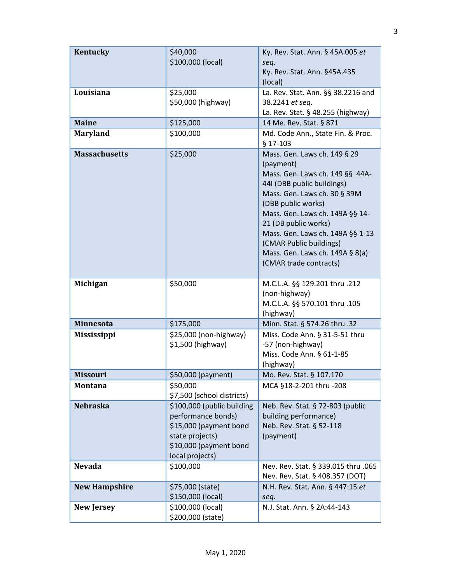| Kentucky             | \$40,000<br>\$100,000 (local)                                                                                                              | Ky. Rev. Stat. Ann. § 45A.005 et<br>seq.<br>Ky. Rev. Stat. Ann. §45A.435<br>(local)                                                                                                                                                                                                                                                                     |
|----------------------|--------------------------------------------------------------------------------------------------------------------------------------------|---------------------------------------------------------------------------------------------------------------------------------------------------------------------------------------------------------------------------------------------------------------------------------------------------------------------------------------------------------|
| Louisiana            | \$25,000<br>\$50,000 (highway)                                                                                                             | La. Rev. Stat. Ann. §§ 38.2216 and<br>38.2241 et seq.<br>La. Rev. Stat. § 48.255 (highway)                                                                                                                                                                                                                                                              |
| <b>Maine</b>         | \$125,000                                                                                                                                  | 14 Me. Rev. Stat. § 871                                                                                                                                                                                                                                                                                                                                 |
| <b>Maryland</b>      | \$100,000                                                                                                                                  | Md. Code Ann., State Fin. & Proc.<br>$§$ 17-103                                                                                                                                                                                                                                                                                                         |
| <b>Massachusetts</b> | \$25,000                                                                                                                                   | Mass. Gen. Laws ch. 149 § 29<br>(payment)<br>Mass. Gen. Laws ch. 149 §§ 44A-<br>44I (DBB public buildings)<br>Mass. Gen. Laws ch. 30 § 39M<br>(DBB public works)<br>Mass. Gen. Laws ch. 149A §§ 14-<br>21 (DB public works)<br>Mass. Gen. Laws ch. 149A §§ 1-13<br>(CMAR Public buildings)<br>Mass. Gen. Laws ch. 149A § 8(a)<br>(CMAR trade contracts) |
| Michigan             | \$50,000                                                                                                                                   | M.C.L.A. §§ 129.201 thru .212<br>(non-highway)<br>M.C.L.A. §§ 570.101 thru .105<br>(highway)                                                                                                                                                                                                                                                            |
| <b>Minnesota</b>     | \$175,000                                                                                                                                  | Minn. Stat. § 574.26 thru .32                                                                                                                                                                                                                                                                                                                           |
| <b>Mississippi</b>   | \$25,000 (non-highway)<br>\$1,500 (highway)                                                                                                | Miss. Code Ann. § 31-5-51 thru<br>-57 (non-highway)<br>Miss. Code Ann. § 61-1-85<br>(highway)                                                                                                                                                                                                                                                           |
| <b>Missouri</b>      | \$50,000 (payment)                                                                                                                         | Mo. Rev. Stat. § 107.170                                                                                                                                                                                                                                                                                                                                |
| Montana              | \$50,000<br>\$7,500 (school districts)                                                                                                     | MCA §18-2-201 thru -208                                                                                                                                                                                                                                                                                                                                 |
| <b>Nebraska</b>      | \$100,000 (public building<br>performance bonds)<br>\$15,000 (payment bond<br>state projects)<br>\$10,000 (payment bond<br>local projects) | Neb. Rev. Stat. § 72-803 (public<br>building performance)<br>Neb. Rev. Stat. § 52-118<br>(payment)                                                                                                                                                                                                                                                      |
| <b>Nevada</b>        | \$100,000                                                                                                                                  | Nev. Rev. Stat. § 339.015 thru .065<br>Nev. Rev. Stat. § 408.357 (DOT)                                                                                                                                                                                                                                                                                  |
| <b>New Hampshire</b> | \$75,000 (state)<br>\$150,000 (local)                                                                                                      | N.H. Rev. Stat. Ann. § 447:15 et<br>seq.                                                                                                                                                                                                                                                                                                                |
| <b>New Jersey</b>    | \$100,000 (local)<br>\$200,000 (state)                                                                                                     | N.J. Stat. Ann. § 2A:44-143                                                                                                                                                                                                                                                                                                                             |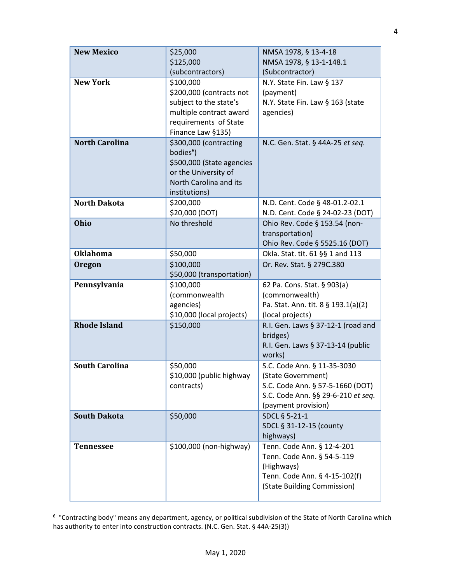| <b>New Mexico</b>     | \$25,000<br>\$125,000     | NMSA 1978, § 13-4-18<br>NMSA 1978, § 13-1-148.1 |
|-----------------------|---------------------------|-------------------------------------------------|
|                       | (subcontractors)          | (Subcontractor)                                 |
| <b>New York</b>       | \$100,000                 | N.Y. State Fin. Law § 137                       |
|                       | \$200,000 (contracts not  | (payment)                                       |
|                       | subject to the state's    | N.Y. State Fin. Law § 163 (state                |
|                       | multiple contract award   | agencies)                                       |
|                       | requirements of State     |                                                 |
|                       | Finance Law §135)         |                                                 |
| <b>North Carolina</b> | \$300,000 (contracting    | N.C. Gen. Stat. § 44A-25 et seg.                |
|                       | bodies <sup>6</sup> )     |                                                 |
|                       | \$500,000 (State agencies |                                                 |
|                       | or the University of      |                                                 |
|                       | North Carolina and its    |                                                 |
|                       | institutions)             |                                                 |
| <b>North Dakota</b>   | \$200,000                 | N.D. Cent. Code § 48-01.2-02.1                  |
|                       | \$20,000 (DOT)            | N.D. Cent. Code § 24-02-23 (DOT)                |
| <b>Ohio</b>           | No threshold              | Ohio Rev. Code § 153.54 (non-                   |
|                       |                           | transportation)                                 |
|                       |                           | Ohio Rev. Code § 5525.16 (DOT)                  |
| <b>Oklahoma</b>       | \$50,000                  | Okla. Stat. tit. 61 §§ 1 and 113                |
| Oregon                | \$100,000                 | Or. Rev. Stat. § 279C.380                       |
|                       | \$50,000 (transportation) |                                                 |
| Pennsylvania          | \$100,000                 | 62 Pa. Cons. Stat. § 903(a)                     |
|                       | (commonwealth             | (commonwealth)                                  |
|                       | agencies)                 | Pa. Stat. Ann. tit. 8 § 193.1(a)(2)             |
|                       | \$10,000 (local projects) | (local projects)                                |
| <b>Rhode Island</b>   | \$150,000                 | R.I. Gen. Laws § 37-12-1 (road and              |
|                       |                           | bridges)                                        |
|                       |                           | R.I. Gen. Laws § 37-13-14 (public<br>works)     |
| <b>South Carolina</b> | \$50,000                  | S.C. Code Ann. § 11-35-3030                     |
|                       | \$10,000 (public highway  | (State Government)                              |
|                       | contracts)                | S.C. Code Ann. § 57-5-1660 (DOT)                |
|                       |                           | S.C. Code Ann. §§ 29-6-210 et seq.              |
|                       |                           | (payment provision)                             |
| <b>South Dakota</b>   | \$50,000                  | SDCL § 5-21-1                                   |
|                       |                           | SDCL § 31-12-15 (county                         |
|                       |                           | highways)                                       |
| <b>Tennessee</b>      | \$100,000 (non-highway)   | Tenn. Code Ann. § 12-4-201                      |
|                       |                           | Tenn. Code Ann. § 54-5-119                      |
|                       |                           | (Highways)                                      |
|                       |                           | Tenn. Code Ann. § 4-15-102(f)                   |
|                       |                           | (State Building Commission)                     |
|                       |                           |                                                 |

<sup>&</sup>lt;sup>6</sup> "Contracting body" means any department, agency, or political subdivision of the State of North Carolina which has authority to enter into construction contracts. (N.C. Gen. Stat. § 44A-25(3))